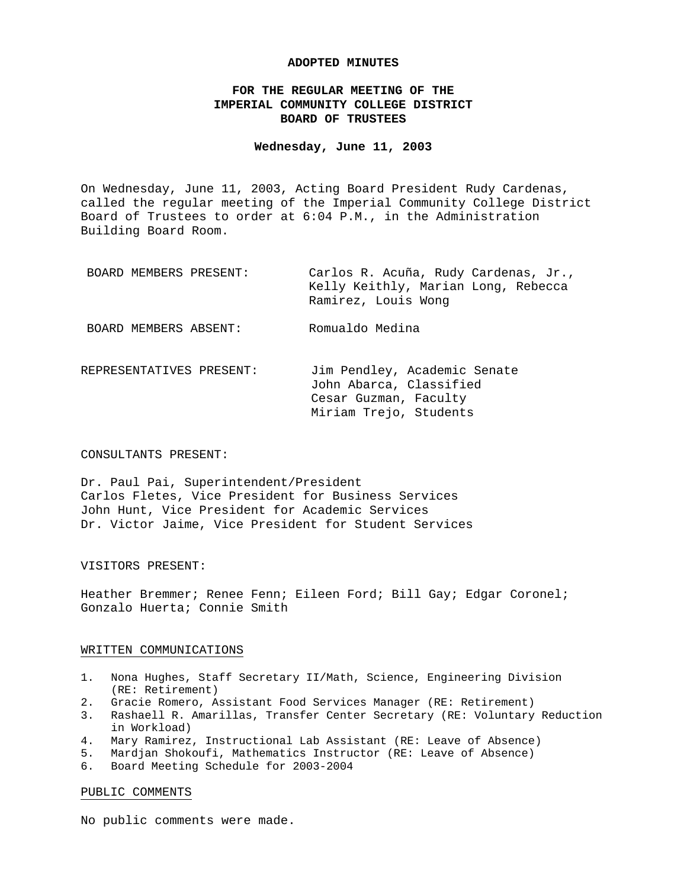#### **ADOPTED MINUTES**

## **FOR THE REGULAR MEETING OF THE IMPERIAL COMMUNITY COLLEGE DISTRICT BOARD OF TRUSTEES**

## **Wednesday, June 11, 2003**

On Wednesday, June 11, 2003, Acting Board President Rudy Cardenas, called the regular meeting of the Imperial Community College District Board of Trustees to order at 6:04 P.M., in the Administration Building Board Room.

| BOARD MEMBERS PRESENT: | Carlos R. Acuña, Rudy Cardenas, Jr., |
|------------------------|--------------------------------------|
|                        | Kelly Keithly, Marian Long, Rebecca  |
|                        | Ramirez, Louis Wong                  |
|                        |                                      |
| BOARD MEMBERS ABSENT:  | Romualdo Medina                      |

REPRESENTATIVES PRESENT: Jim Pendley, Academic Senate John Abarca, Classified Cesar Guzman, Faculty Miriam Trejo, Students

#### CONSULTANTS PRESENT:

Dr. Paul Pai, Superintendent/President Carlos Fletes, Vice President for Business Services John Hunt, Vice President for Academic Services Dr. Victor Jaime, Vice President for Student Services

## VISITORS PRESENT:

Heather Bremmer; Renee Fenn; Eileen Ford; Bill Gay; Edgar Coronel; Gonzalo Huerta; Connie Smith

#### WRITTEN COMMUNICATIONS

- 1. Nona Hughes, Staff Secretary II/Math, Science, Engineering Division (RE: Retirement)
- 2. Gracie Romero, Assistant Food Services Manager (RE: Retirement)
- 3. Rashaell R. Amarillas, Transfer Center Secretary (RE: Voluntary Reduction in Workload)
- 4. Mary Ramirez, Instructional Lab Assistant (RE: Leave of Absence)
- 5. Mardjan Shokoufi, Mathematics Instructor (RE: Leave of Absence)
- 6. Board Meeting Schedule for 2003-2004

#### PUBLIC COMMENTS

No public comments were made.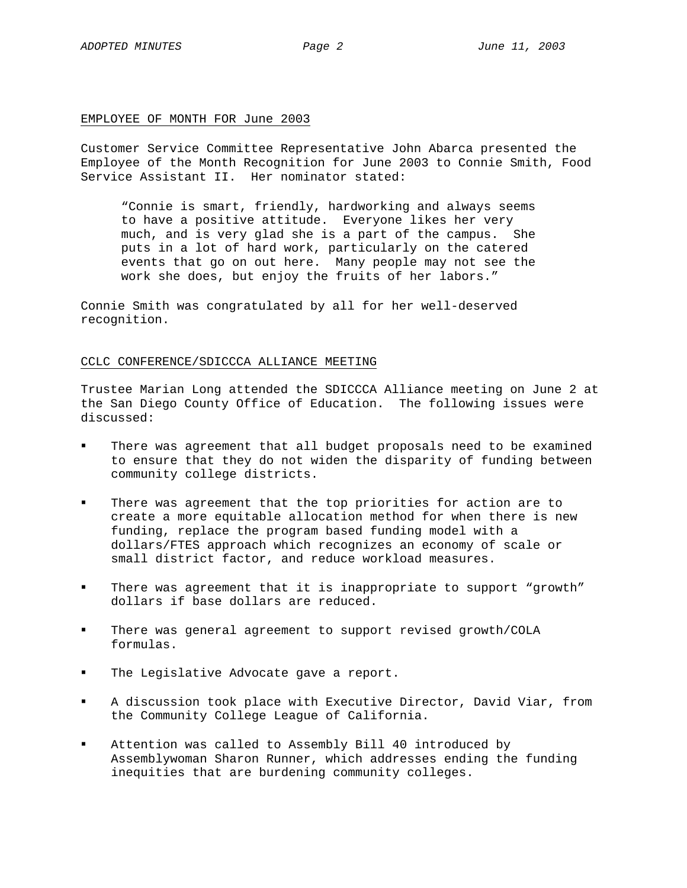### EMPLOYEE OF MONTH FOR June 2003

Customer Service Committee Representative John Abarca presented the Employee of the Month Recognition for June 2003 to Connie Smith, Food Service Assistant II. Her nominator stated:

"Connie is smart, friendly, hardworking and always seems to have a positive attitude. Everyone likes her very much, and is very glad she is a part of the campus. She puts in a lot of hard work, particularly on the catered events that go on out here. Many people may not see the work she does, but enjoy the fruits of her labors."

Connie Smith was congratulated by all for her well-deserved recognition.

### CCLC CONFERENCE/SDICCCA ALLIANCE MEETING

Trustee Marian Long attended the SDICCCA Alliance meeting on June 2 at the San Diego County Office of Education. The following issues were discussed:

- There was agreement that all budget proposals need to be examined to ensure that they do not widen the disparity of funding between community college districts.
- There was agreement that the top priorities for action are to create a more equitable allocation method for when there is new funding, replace the program based funding model with a dollars/FTES approach which recognizes an economy of scale or small district factor, and reduce workload measures.
- There was agreement that it is inappropriate to support "growth" dollars if base dollars are reduced.
- There was general agreement to support revised growth/COLA formulas.
- The Legislative Advocate gave a report.
- A discussion took place with Executive Director, David Viar, from the Community College League of California.
- Attention was called to Assembly Bill 40 introduced by Assemblywoman Sharon Runner, which addresses ending the funding inequities that are burdening community colleges.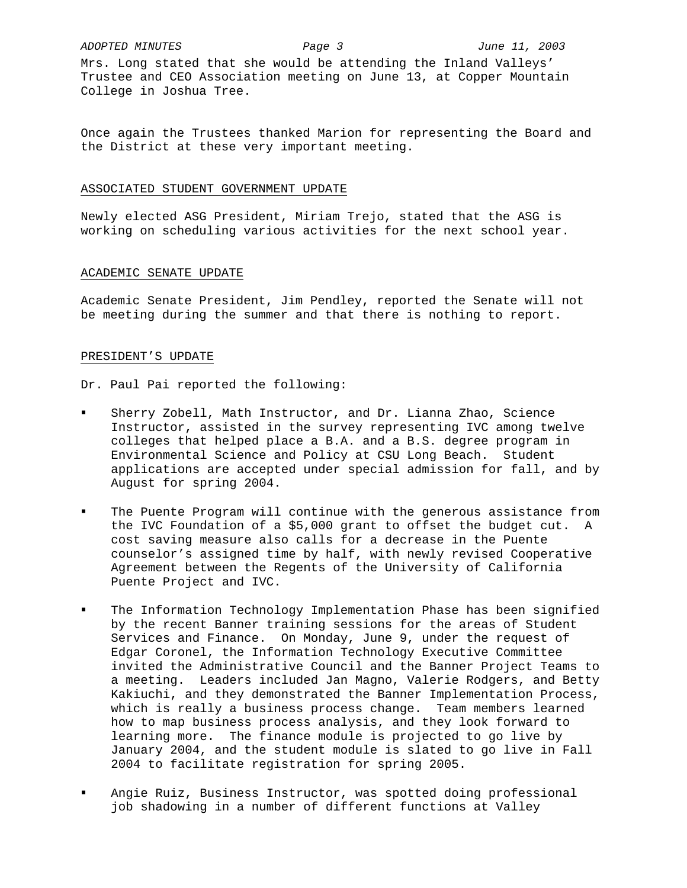Mrs. Long stated that she would be attending the Inland Valleys' Trustee and CEO Association meeting on June 13, at Copper Mountain College in Joshua Tree.

Once again the Trustees thanked Marion for representing the Board and the District at these very important meeting.

## ASSOCIATED STUDENT GOVERNMENT UPDATE

Newly elected ASG President, Miriam Trejo, stated that the ASG is working on scheduling various activities for the next school year.

### ACADEMIC SENATE UPDATE

Academic Senate President, Jim Pendley, reported the Senate will not be meeting during the summer and that there is nothing to report.

## PRESIDENT'S UPDATE

Dr. Paul Pai reported the following:

- Sherry Zobell, Math Instructor, and Dr. Lianna Zhao, Science Instructor, assisted in the survey representing IVC among twelve colleges that helped place a B.A. and a B.S. degree program in Environmental Science and Policy at CSU Long Beach. Student applications are accepted under special admission for fall, and by August for spring 2004.
- The Puente Program will continue with the generous assistance from the IVC Foundation of a \$5,000 grant to offset the budget cut. A cost saving measure also calls for a decrease in the Puente counselor's assigned time by half, with newly revised Cooperative Agreement between the Regents of the University of California Puente Project and IVC.
- The Information Technology Implementation Phase has been signified by the recent Banner training sessions for the areas of Student Services and Finance. On Monday, June 9, under the request of Edgar Coronel, the Information Technology Executive Committee invited the Administrative Council and the Banner Project Teams to a meeting. Leaders included Jan Magno, Valerie Rodgers, and Betty Kakiuchi, and they demonstrated the Banner Implementation Process, which is really a business process change. Team members learned how to map business process analysis, and they look forward to learning more. The finance module is projected to go live by January 2004, and the student module is slated to go live in Fall 2004 to facilitate registration for spring 2005.
- Angie Ruiz, Business Instructor, was spotted doing professional job shadowing in a number of different functions at Valley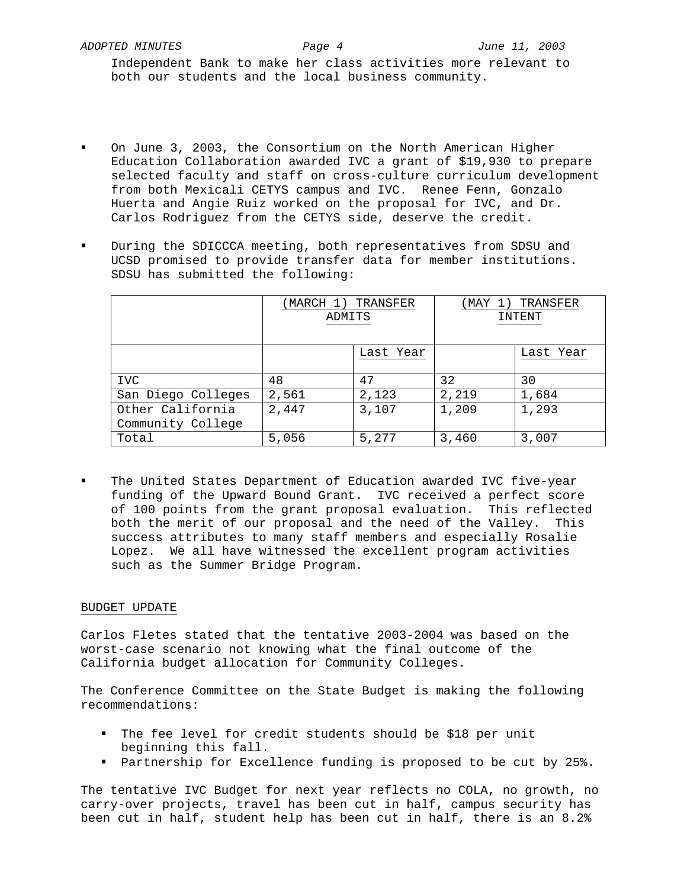Independent Bank to make her class activities more relevant to both our students and the local business community.

- On June 3, 2003, the Consortium on the North American Higher Education Collaboration awarded IVC a grant of \$19,930 to prepare selected faculty and staff on cross-culture curriculum development from both Mexicali CETYS campus and IVC. Renee Fenn, Gonzalo Huerta and Angie Ruiz worked on the proposal for IVC, and Dr. Carlos Rodriguez from the CETYS side, deserve the credit.
- During the SDICCCA meeting, both representatives from SDSU and UCSD promised to provide transfer data for member institutions. SDSU has submitted the following:

|                                       | (MARCH 1) TRANSFER<br>ADMITS |           | (MAY 1) TRANSFER<br>INTENT |           |
|---------------------------------------|------------------------------|-----------|----------------------------|-----------|
|                                       |                              | Last Year |                            | Last Year |
| <b>IVC</b>                            | 48                           | 47        | 32                         | 30        |
| San Diego Colleges                    | 2,561                        | 2,123     | 2,219                      | 1,684     |
| Other California<br>Community College | 2,447                        | 3,107     | 1,209                      | 1,293     |
| Total                                 | 5,056                        | 5,277     | 3,460                      | 3,007     |

 The United States Department of Education awarded IVC five-year funding of the Upward Bound Grant. IVC received a perfect score of 100 points from the grant proposal evaluation. This reflected both the merit of our proposal and the need of the Valley. This success attributes to many staff members and especially Rosalie Lopez. We all have witnessed the excellent program activities such as the Summer Bridge Program.

# BUDGET UPDATE

Carlos Fletes stated that the tentative 2003-2004 was based on the worst-case scenario not knowing what the final outcome of the California budget allocation for Community Colleges.

The Conference Committee on the State Budget is making the following recommendations:

- The fee level for credit students should be \$18 per unit beginning this fall.
- Partnership for Excellence funding is proposed to be cut by 25%.

The tentative IVC Budget for next year reflects no COLA, no growth, no carry-over projects, travel has been cut in half, campus security has been cut in half, student help has been cut in half, there is an 8.2%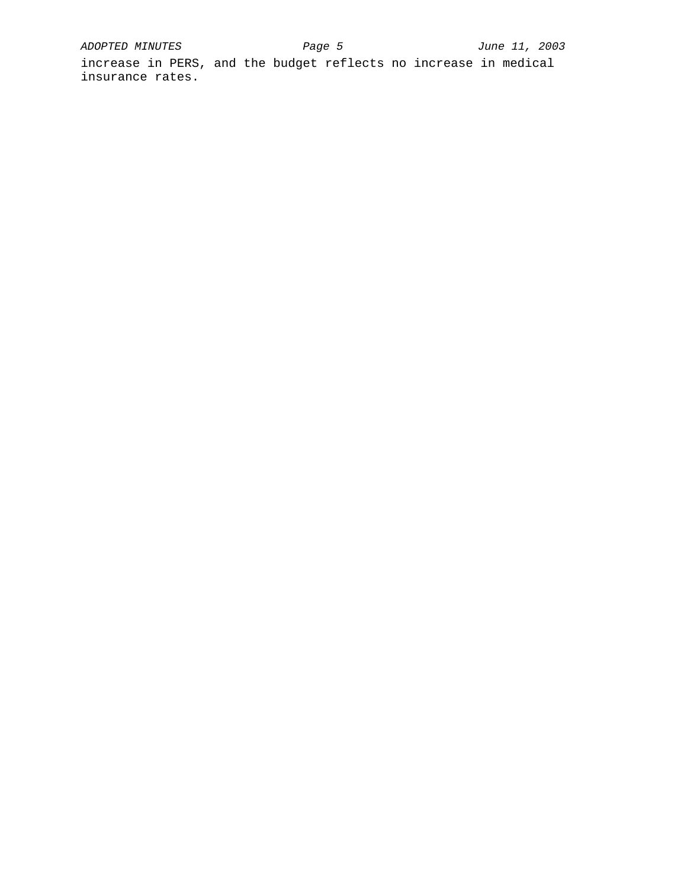increase in PERS, and the budget reflects no increase in medical insurance rates.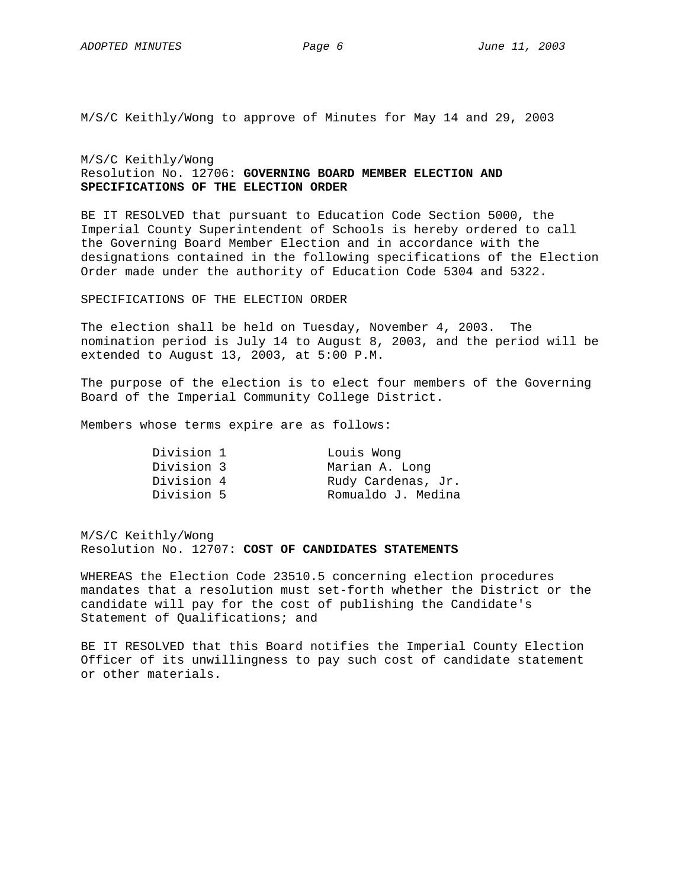M/S/C Keithly/Wong to approve of Minutes for May 14 and 29, 2003

M/S/C Keithly/Wong Resolution No. 12706: **GOVERNING BOARD MEMBER ELECTION AND SPECIFICATIONS OF THE ELECTION ORDER** 

BE IT RESOLVED that pursuant to Education Code Section 5000, the Imperial County Superintendent of Schools is hereby ordered to call the Governing Board Member Election and in accordance with the designations contained in the following specifications of the Election Order made under the authority of Education Code 5304 and 5322.

## SPECIFICATIONS OF THE ELECTION ORDER

The election shall be held on Tuesday, November 4, 2003. The nomination period is July 14 to August 8, 2003, and the period will be extended to August 13, 2003, at 5:00 P.M.

The purpose of the election is to elect four members of the Governing Board of the Imperial Community College District.

Members whose terms expire are as follows:

| Division 1 | Louis Wong         |
|------------|--------------------|
| Division 3 | Marian A. Long     |
| Division 4 | Rudy Cardenas, Jr. |
| Division 5 | Romualdo J. Medina |

M/S/C Keithly/Wong Resolution No. 12707: **COST OF CANDIDATES STATEMENTS** 

WHEREAS the Election Code 23510.5 concerning election procedures mandates that a resolution must set-forth whether the District or the candidate will pay for the cost of publishing the Candidate's Statement of Qualifications; and

BE IT RESOLVED that this Board notifies the Imperial County Election Officer of its unwillingness to pay such cost of candidate statement or other materials.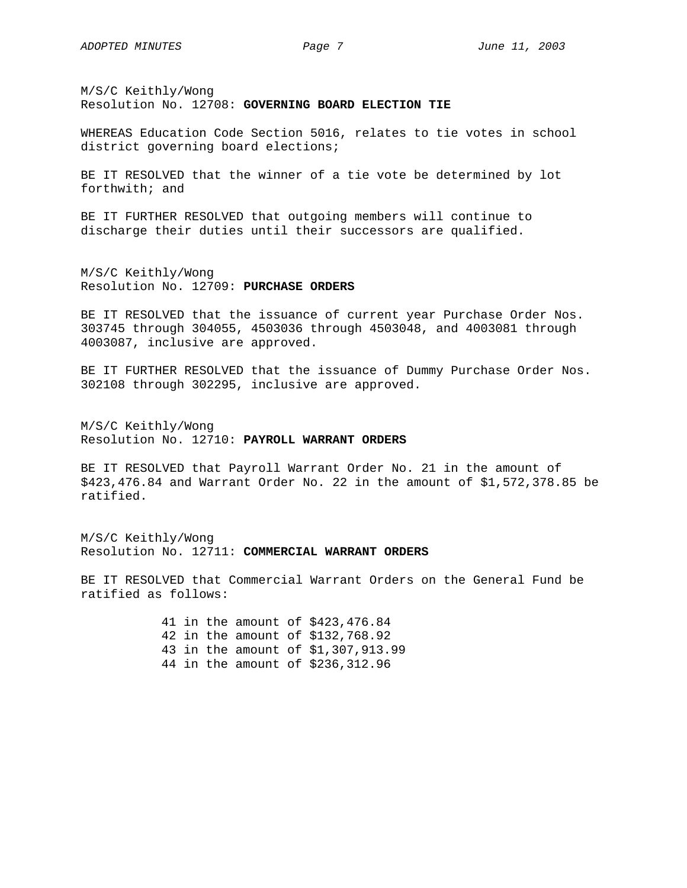M/S/C Keithly/Wong Resolution No. 12708: **GOVERNING BOARD ELECTION TIE** 

WHEREAS Education Code Section 5016, relates to tie votes in school district governing board elections;

BE IT RESOLVED that the winner of a tie vote be determined by lot forthwith; and

BE IT FURTHER RESOLVED that outgoing members will continue to discharge their duties until their successors are qualified.

M/S/C Keithly/Wong Resolution No. 12709: **PURCHASE ORDERS**

BE IT RESOLVED that the issuance of current year Purchase Order Nos. 303745 through 304055, 4503036 through 4503048, and 4003081 through 4003087, inclusive are approved.

BE IT FURTHER RESOLVED that the issuance of Dummy Purchase Order Nos. 302108 through 302295, inclusive are approved.

M/S/C Keithly/Wong Resolution No. 12710: **PAYROLL WARRANT ORDERS**

BE IT RESOLVED that Payroll Warrant Order No. 21 in the amount of \$423,476.84 and Warrant Order No. 22 in the amount of \$1,572,378.85 be ratified.

M/S/C Keithly/Wong Resolution No. 12711: **COMMERCIAL WARRANT ORDERS**

BE IT RESOLVED that Commercial Warrant Orders on the General Fund be ratified as follows:

> 41 in the amount of \$423,476.84 42 in the amount of \$132,768.92 43 in the amount of \$1,307,913.99 44 in the amount of \$236,312.96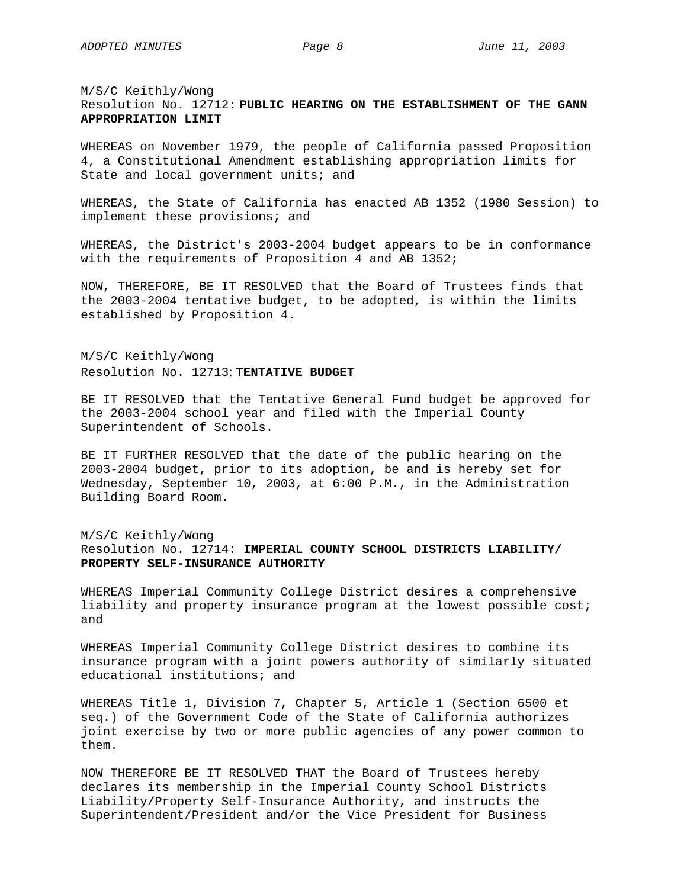M/S/C Keithly/Wong Resolution No. 12712: **PUBLIC HEARING ON THE ESTABLISHMENT OF THE GANN APPROPRIATION LIMIT** 

WHEREAS on November 1979, the people of California passed Proposition 4, a Constitutional Amendment establishing appropriation limits for State and local government units; and

WHEREAS, the State of California has enacted AB 1352 (1980 Session) to implement these provisions; and

WHEREAS, the District's 2003-2004 budget appears to be in conformance with the requirements of Proposition 4 and AB 1352;

NOW, THEREFORE, BE IT RESOLVED that the Board of Trustees finds that the 2003-2004 tentative budget, to be adopted, is within the limits established by Proposition 4.

M/S/C Keithly/Wong Resolution No. 12713: **TENTATIVE BUDGET** 

BE IT RESOLVED that the Tentative General Fund budget be approved for the 2003-2004 school year and filed with the Imperial County Superintendent of Schools.

BE IT FURTHER RESOLVED that the date of the public hearing on the 2003-2004 budget, prior to its adoption, be and is hereby set for Wednesday, September 10, 2003, at 6:00 P.M., in the Administration Building Board Room.

# M/S/C Keithly/Wong Resolution No. 12714: **IMPERIAL COUNTY SCHOOL DISTRICTS LIABILITY/ PROPERTY SELF-INSURANCE AUTHORITY**

WHEREAS Imperial Community College District desires a comprehensive liability and property insurance program at the lowest possible cost; and

WHEREAS Imperial Community College District desires to combine its insurance program with a joint powers authority of similarly situated educational institutions; and

WHEREAS Title 1, Division 7, Chapter 5, Article 1 (Section 6500 et seq.) of the Government Code of the State of California authorizes joint exercise by two or more public agencies of any power common to them.

NOW THEREFORE BE IT RESOLVED THAT the Board of Trustees hereby declares its membership in the Imperial County School Districts Liability/Property Self-Insurance Authority, and instructs the Superintendent/President and/or the Vice President for Business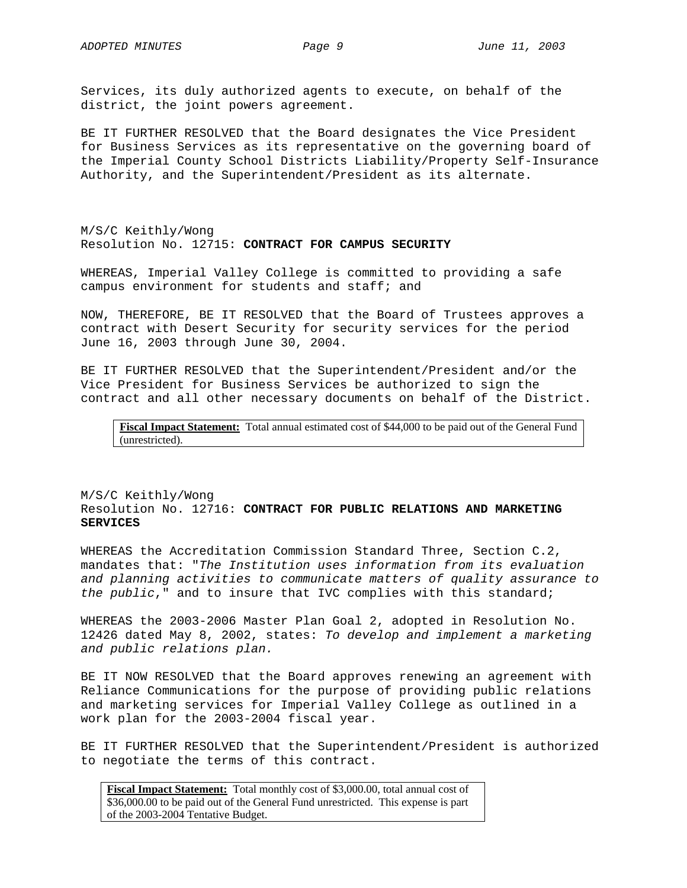Services, its duly authorized agents to execute, on behalf of the district, the joint powers agreement.

BE IT FURTHER RESOLVED that the Board designates the Vice President for Business Services as its representative on the governing board of the Imperial County School Districts Liability/Property Self-Insurance Authority, and the Superintendent/President as its alternate.

M/S/C Keithly/Wong Resolution No. 12715: **CONTRACT FOR CAMPUS SECURITY** 

WHEREAS, Imperial Valley College is committed to providing a safe campus environment for students and staff; and

NOW, THEREFORE, BE IT RESOLVED that the Board of Trustees approves a contract with Desert Security for security services for the period June 16, 2003 through June 30, 2004.

BE IT FURTHER RESOLVED that the Superintendent/President and/or the Vice President for Business Services be authorized to sign the contract and all other necessary documents on behalf of the District.

**Fiscal Impact Statement:** Total annual estimated cost of \$44,000 to be paid out of the General Fund (unrestricted).

## M/S/C Keithly/Wong Resolution No. 12716: **CONTRACT FOR PUBLIC RELATIONS AND MARKETING SERVICES**

WHEREAS the Accreditation Commission Standard Three, Section C.2, mandates that: "*The Institution uses information from its evaluation and planning activities to communicate matters of quality assurance to the public*," and to insure that IVC complies with this standard;

WHEREAS the 2003-2006 Master Plan Goal 2, adopted in Resolution No. 12426 dated May 8, 2002, states: *To develop and implement a marketing and public relations plan.*

BE IT NOW RESOLVED that the Board approves renewing an agreement with Reliance Communications for the purpose of providing public relations and marketing services for Imperial Valley College as outlined in a work plan for the 2003-2004 fiscal year.

BE IT FURTHER RESOLVED that the Superintendent/President is authorized to negotiate the terms of this contract.

**Fiscal Impact Statement:** Total monthly cost of \$3,000.00, total annual cost of \$36,000.00 to be paid out of the General Fund unrestricted. This expense is part of the 2003-2004 Tentative Budget.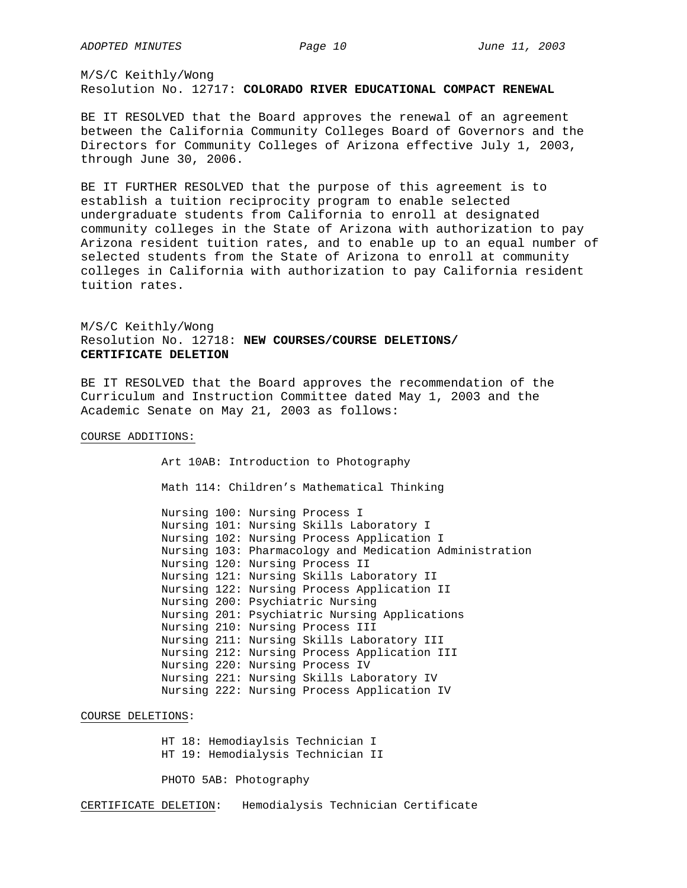M/S/C Keithly/Wong Resolution No. 12717: **COLORADO RIVER EDUCATIONAL COMPACT RENEWAL**

BE IT RESOLVED that the Board approves the renewal of an agreement between the California Community Colleges Board of Governors and the Directors for Community Colleges of Arizona effective July 1, 2003, through June 30, 2006.

BE IT FURTHER RESOLVED that the purpose of this agreement is to establish a tuition reciprocity program to enable selected undergraduate students from California to enroll at designated community colleges in the State of Arizona with authorization to pay Arizona resident tuition rates, and to enable up to an equal number of selected students from the State of Arizona to enroll at community colleges in California with authorization to pay California resident tuition rates.

M/S/C Keithly/Wong Resolution No. 12718: **NEW COURSES/COURSE DELETIONS/ CERTIFICATE DELETION**

BE IT RESOLVED that the Board approves the recommendation of the Curriculum and Instruction Committee dated May 1, 2003 and the Academic Senate on May 21, 2003 as follows:

# COURSE ADDITIONS:

Art 10AB: Introduction to Photography Math 114: Children's Mathematical Thinking

Nursing 100: Nursing Process I Nursing 101: Nursing Skills Laboratory I Nursing 102: Nursing Process Application I Nursing 103: Pharmacology and Medication Administration Nursing 120: Nursing Process II Nursing 121: Nursing Skills Laboratory II Nursing 122: Nursing Process Application II Nursing 200: Psychiatric Nursing Nursing 201: Psychiatric Nursing Applications Nursing 210: Nursing Process III Nursing 211: Nursing Skills Laboratory III Nursing 212: Nursing Process Application III Nursing 220: Nursing Process IV Nursing 221: Nursing Skills Laboratory IV Nursing 222: Nursing Process Application IV

## COURSE DELETIONS:

HT 18: Hemodiaylsis Technician I HT 19: Hemodialysis Technician II

PHOTO 5AB: Photography

CERTIFICATE DELETION: Hemodialysis Technician Certificate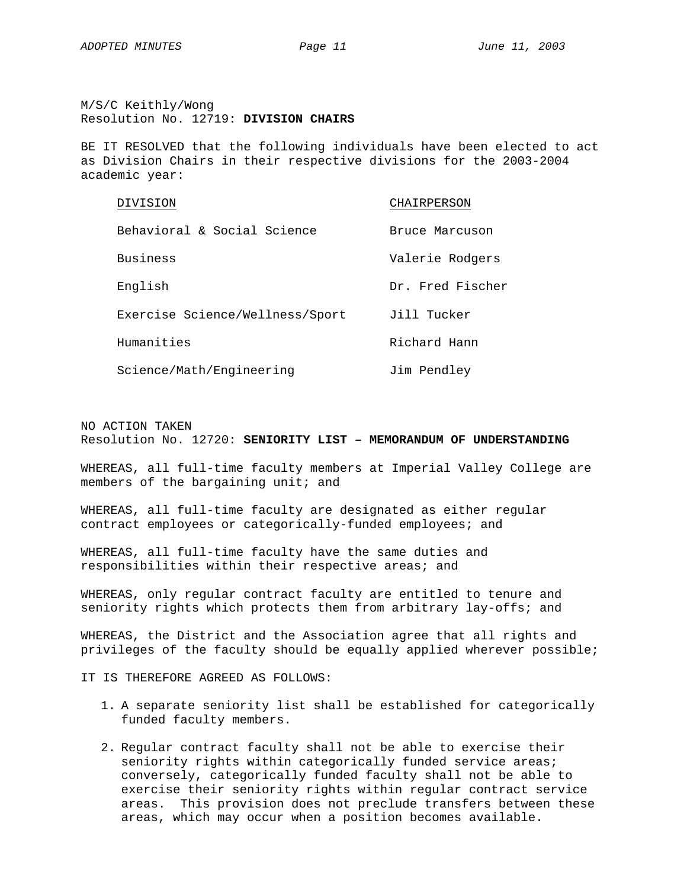M/S/C Keithly/Wong Resolution No. 12719: **DIVISION CHAIRS**

BE IT RESOLVED that the following individuals have been elected to act as Division Chairs in their respective divisions for the 2003-2004 academic year:

| DIVISION                        | CHAIRPERSON      |
|---------------------------------|------------------|
| Behavioral & Social Science     | Bruce Marcuson   |
| Business                        | Valerie Rodgers  |
| English                         | Dr. Fred Fischer |
| Exercise Science/Wellness/Sport | Jill Tucker      |
| Humanities                      | Richard Hann     |
| Science/Math/Engineering        | Jim Pendley      |

NO ACTION TAKEN Resolution No. 12720: **SENIORITY LIST – MEMORANDUM OF UNDERSTANDING** 

WHEREAS, all full-time faculty members at Imperial Valley College are members of the bargaining unit; and

WHEREAS, all full-time faculty are designated as either regular contract employees or categorically-funded employees; and

WHEREAS, all full-time faculty have the same duties and responsibilities within their respective areas; and

WHEREAS, only regular contract faculty are entitled to tenure and seniority rights which protects them from arbitrary lay-offs; and

WHEREAS, the District and the Association agree that all rights and privileges of the faculty should be equally applied wherever possible;

IT IS THEREFORE AGREED AS FOLLOWS:

- 1. A separate seniority list shall be established for categorically funded faculty members.
- 2. Regular contract faculty shall not be able to exercise their seniority rights within categorically funded service areas; conversely, categorically funded faculty shall not be able to exercise their seniority rights within regular contract service areas. This provision does not preclude transfers between these areas, which may occur when a position becomes available.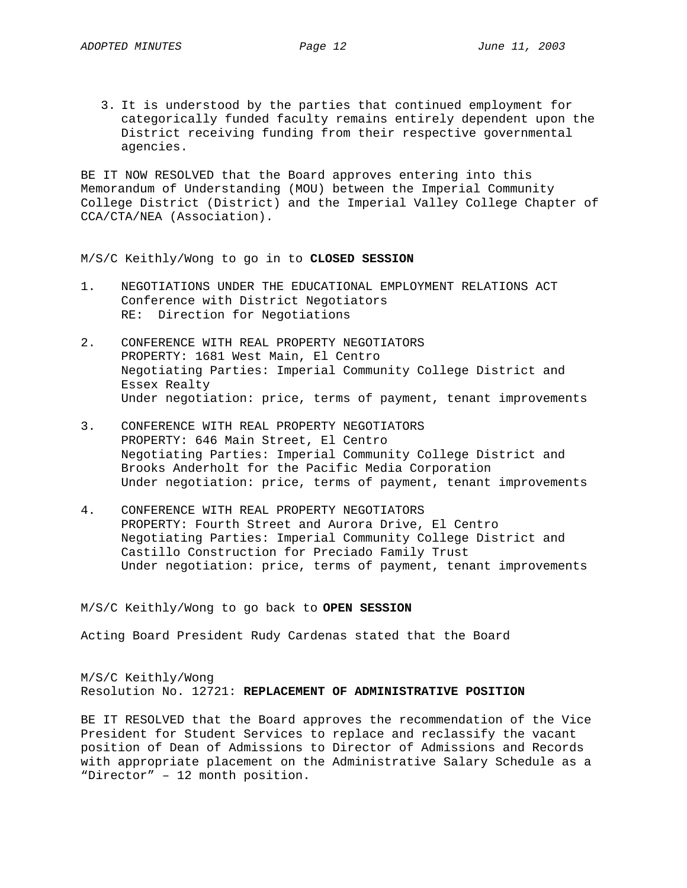3. It is understood by the parties that continued employment for categorically funded faculty remains entirely dependent upon the District receiving funding from their respective governmental agencies.

BE IT NOW RESOLVED that the Board approves entering into this Memorandum of Understanding (MOU) between the Imperial Community College District (District) and the Imperial Valley College Chapter of CCA/CTA/NEA (Association).

M/S/C Keithly/Wong to go in to **CLOSED SESSION** 

- 1. NEGOTIATIONS UNDER THE EDUCATIONAL EMPLOYMENT RELATIONS ACT Conference with District Negotiators RE: Direction for Negotiations
- 2. CONFERENCE WITH REAL PROPERTY NEGOTIATORS PROPERTY: 1681 West Main, El Centro Negotiating Parties: Imperial Community College District and Essex Realty Under negotiation: price, terms of payment, tenant improvements
- 3. CONFERENCE WITH REAL PROPERTY NEGOTIATORS PROPERTY: 646 Main Street, El Centro Negotiating Parties: Imperial Community College District and Brooks Anderholt for the Pacific Media Corporation Under negotiation: price, terms of payment, tenant improvements
- 4. CONFERENCE WITH REAL PROPERTY NEGOTIATORS PROPERTY: Fourth Street and Aurora Drive, El Centro Negotiating Parties: Imperial Community College District and Castillo Construction for Preciado Family Trust Under negotiation: price, terms of payment, tenant improvements

M/S/C Keithly/Wong to go back to **OPEN SESSION**

Acting Board President Rudy Cardenas stated that the Board

M/S/C Keithly/Wong Resolution No. 12721: **REPLACEMENT OF ADMINISTRATIVE POSITION** 

BE IT RESOLVED that the Board approves the recommendation of the Vice President for Student Services to replace and reclassify the vacant position of Dean of Admissions to Director of Admissions and Records with appropriate placement on the Administrative Salary Schedule as a "Director" – 12 month position.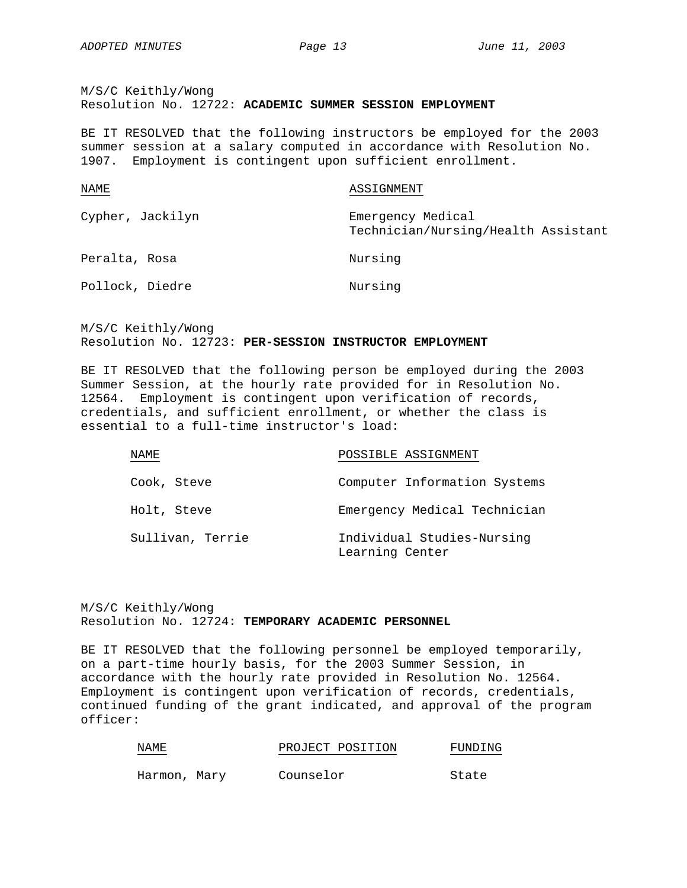M/S/C Keithly/Wong Resolution No. 12722: **ACADEMIC SUMMER SESSION EMPLOYMENT** 

BE IT RESOLVED that the following instructors be employed for the 2003 summer session at a salary computed in accordance with Resolution No. 1907. Employment is contingent upon sufficient enrollment.

| NAME             | ASSIGNMENT                                               |
|------------------|----------------------------------------------------------|
| Cypher, Jackilyn | Emergency Medical<br>Technician/Nursing/Health Assistant |
| Peralta, Rosa    | Nursing                                                  |
| Pollock, Diedre  | Nursing                                                  |

M/S/C Keithly/Wong Resolution No. 12723: **PER-SESSION INSTRUCTOR EMPLOYMENT**

BE IT RESOLVED that the following person be employed during the 2003 Summer Session, at the hourly rate provided for in Resolution No. 12564. Employment is contingent upon verification of records, credentials, and sufficient enrollment, or whether the class is essential to a full-time instructor's load:

| NAME             | POSSIBLE ASSIGNMENT                           |
|------------------|-----------------------------------------------|
| Cook, Steve      | Computer Information Systems                  |
| Holt, Steve      | Emergency Medical Technician                  |
| Sullivan, Terrie | Individual Studies-Nursing<br>Learning Center |

M/S/C Keithly/Wong Resolution No. 12724: **TEMPORARY ACADEMIC PERSONNEL**

BE IT RESOLVED that the following personnel be employed temporarily, on a part-time hourly basis, for the 2003 Summer Session, in accordance with the hourly rate provided in Resolution No. 12564. Employment is contingent upon verification of records, credentials, continued funding of the grant indicated, and approval of the program officer:

| NAME         |  |           | PROJECT POSITION | FUNDING |
|--------------|--|-----------|------------------|---------|
| Harmon, Mary |  | Counselor |                  | State   |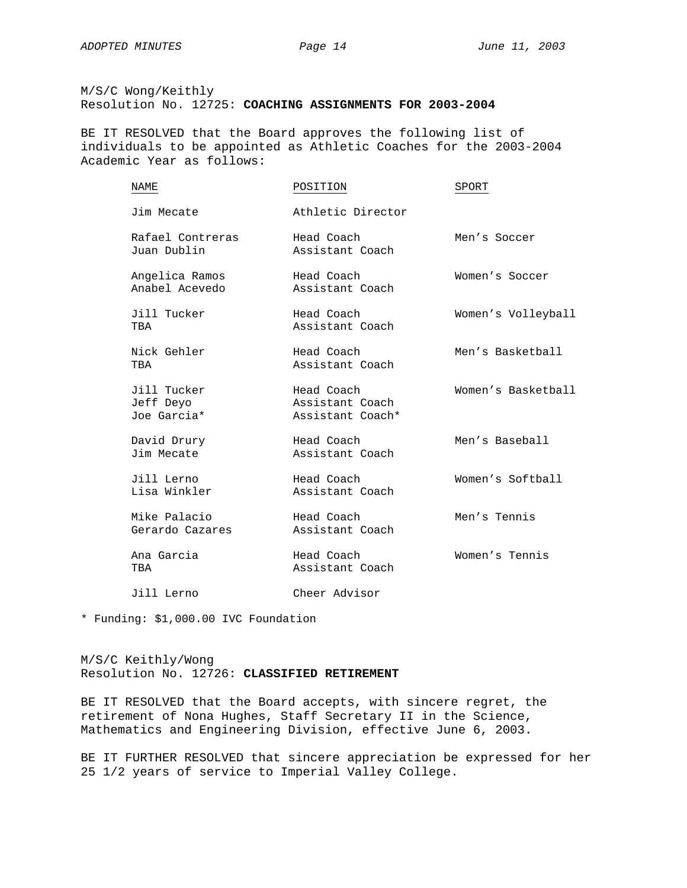M/S/C Wong/Keithly Resolution No. 12725: **COACHING ASSIGNMENTS FOR 2003-2004** 

BE IT RESOLVED that the Board approves the following list of individuals to be appointed as Athletic Coaches for the 2003-2004 Academic Year as follows:

| NAME                                    | POSITION                                          | SPORT              |
|-----------------------------------------|---------------------------------------------------|--------------------|
| Jim Mecate                              | Athletic Director                                 |                    |
| Rafael Contreras<br>Juan Dublin         | Head Coach<br>Assistant Coach                     | Men's Soccer       |
| Angelica Ramos<br>Anabel Acevedo        | Head Coach<br>Assistant Coach                     | Women's Soccer     |
| Jill Tucker<br>TBA                      | Head Coach<br>Assistant Coach                     | Women's Volleyball |
| Nick Gehler<br>TBA                      | Head Coach<br>Assistant Coach                     | Men's Basketball   |
| Jill Tucker<br>Jeff Deyo<br>Joe Garcia* | Head Coach<br>Assistant Coach<br>Assistant Coach* | Women's Basketball |
| David Drury<br>Jim Mecate               | Head Coach<br>Assistant Coach                     | Men's Baseball     |
| Jill Lerno<br>Lisa Winkler              | Head Coach<br>Assistant Coach                     | Women's Softball   |
| Mike Palacio<br>Gerardo Cazares         | Head Coach<br>Assistant Coach                     | Men's Tennis       |
| Ana Garcia<br>TBA                       | Head Coach<br>Assistant Coach                     | Women's Tennis     |
| Jill Lerno                              | Cheer Advisor                                     |                    |

\* Funding: \$1,000.00 IVC Foundation

M/S/C Keithly/Wong Resolution No. 12726: **CLASSIFIED RETIREMENT**

BE IT RESOLVED that the Board accepts, with sincere regret, the retirement of Nona Hughes, Staff Secretary II in the Science, Mathematics and Engineering Division, effective June 6, 2003.

BE IT FURTHER RESOLVED that sincere appreciation be expressed for her 25 1/2 years of service to Imperial Valley College.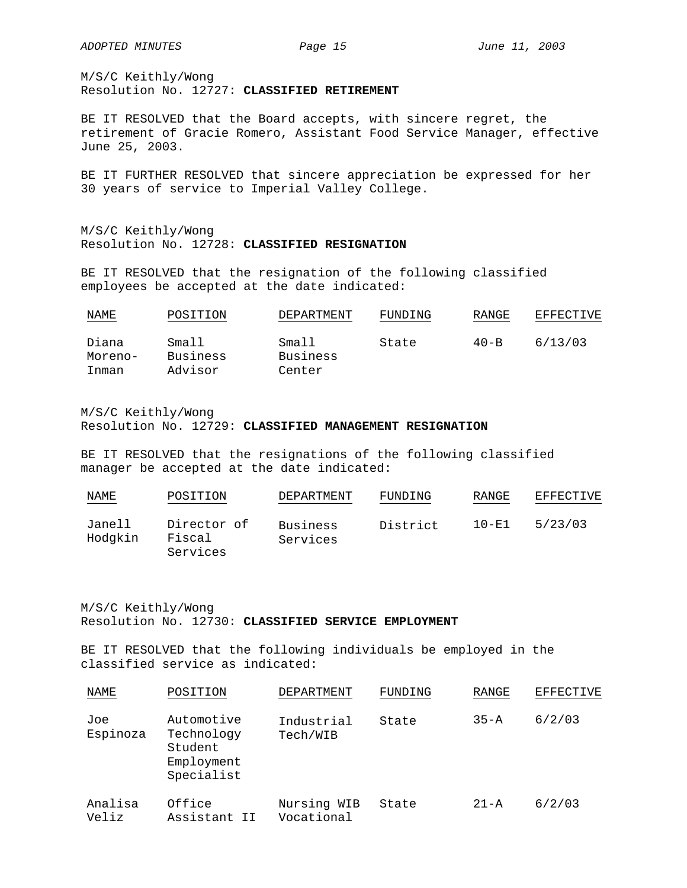M/S/C Keithly/Wong Resolution No. 12727: **CLASSIFIED RETIREMENT**

BE IT RESOLVED that the Board accepts, with sincere regret, the retirement of Gracie Romero, Assistant Food Service Manager, effective June 25, 2003.

BE IT FURTHER RESOLVED that sincere appreciation be expressed for her 30 years of service to Imperial Valley College.

M/S/C Keithly/Wong Resolution No. 12728: **CLASSIFIED RESIGNATION**

BE IT RESOLVED that the resignation of the following classified employees be accepted at the date indicated:

| NAME             | POSITION          | DEPARTMENT        | FUNDING | RANGE    | EFFECTIVE |
|------------------|-------------------|-------------------|---------|----------|-----------|
| Diana<br>Moreno- | Small<br>Business | Small<br>Business | State   | $40 - B$ | 6/13/03   |
| Inman            | Advisor           | Center            |         |          |           |

M/S/C Keithly/Wong Resolution No. 12729: **CLASSIFIED MANAGEMENT RESIGNATION**

BE IT RESOLVED that the resignations of the following classified manager be accepted at the date indicated:

| <u>NAME</u>       | POSITION                          | DEPARTMENT           | FUNDING  | RANGE     | EFFECTIVE |
|-------------------|-----------------------------------|----------------------|----------|-----------|-----------|
| Janell<br>Hodgkin | Director of<br>Fiscal<br>Services | Business<br>Services | District | $10 - E1$ | 5/23/03   |

M/S/C Keithly/Wong Resolution No. 12730: **CLASSIFIED SERVICE EMPLOYMENT**

BE IT RESOLVED that the following individuals be employed in the classified service as indicated:

| NAME             | POSITION                                                        | DEPARTMENT                | FUNDING | RANGE    | <b>EFFECTIVE</b> |
|------------------|-----------------------------------------------------------------|---------------------------|---------|----------|------------------|
| Joe<br>Espinoza  | Automotive<br>Technology<br>Student<br>Employment<br>Specialist | Industrial<br>Tech/WIB    | State   | $35 - A$ | 6/2/03           |
| Analisa<br>Veliz | Office<br>Assistant II                                          | Nursing WIB<br>Vocational | State   | $21 - A$ | 6/2/03           |